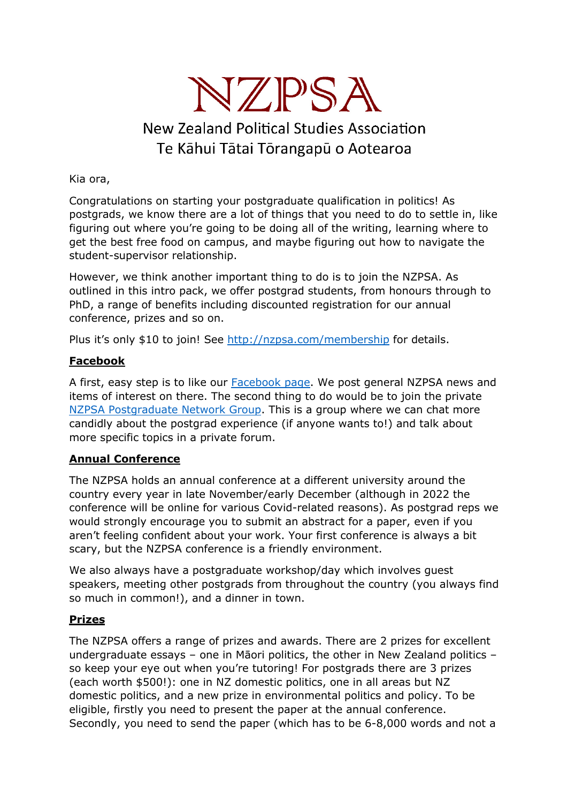

# **New Zealand Political Studies Association** Te Kāhui Tātai Tōrangapū o Aotearoa

Kia ora,

Congratulations on starting your postgraduate qualification in politics! As postgrads, we know there are a lot of things that you need to do to settle in, like figuring out where you're going to be doing all of the writing, learning where to get the best free food on campus, and maybe figuring out how to navigate the student-supervisor relationship.

However, we think another important thing to do is to join the NZPSA. As outlined in this intro pack, we offer postgrad students, from honours through to PhD, a range of benefits including discounted registration for our annual conference, prizes and so on.

Plus it's only \$10 to join! See http://nzpsa.com/membership for details.

# **Facebook**

A first, easy step is to like our Facebook page. We post general NZPSA news and items of interest on there. The second thing to do would be to join the private NZPSA Postgraduate Network Group. This is a group where we can chat more candidly about the postgrad experience (if anyone wants to!) and talk about more specific topics in a private forum.

# **Annual Conference**

The NZPSA holds an annual conference at a different university around the country every year in late November/early December (although in 2022 the conference will be online for various Covid-related reasons). As postgrad reps we would strongly encourage you to submit an abstract for a paper, even if you aren't feeling confident about your work. Your first conference is always a bit scary, but the NZPSA conference is a friendly environment.

We also always have a postgraduate workshop/day which involves guest speakers, meeting other postgrads from throughout the country (you always find so much in common!), and a dinner in town.

# **Prizes**

The NZPSA offers a range of prizes and awards. There are 2 prizes for excellent undergraduate essays – one in Māori politics, the other in New Zealand politics – so keep your eye out when you're tutoring! For postgrads there are 3 prizes (each worth \$500!): one in NZ domestic politics, one in all areas but NZ domestic politics, and a new prize in environmental politics and policy. To be eligible, firstly you need to present the paper at the annual conference. Secondly, you need to send the paper (which has to be 6-8,000 words and not a